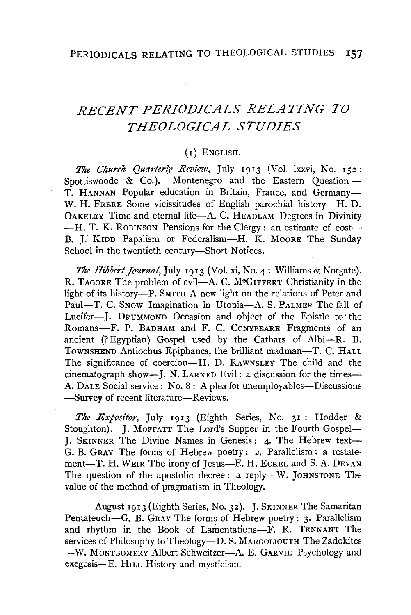# *RECENT PERIODICALS RELATING TO THEOLOGICAL STUDIES*

## (I) ENGLISH.

*The Church Quarterly Review,* July 1913 (Vol. lxxvi, No. 152: Spottiswoode & Co.). Montenegro and the Eastern Ouestion  $-$ T. HANNAN Popular education in Britain, France, and Germany-W. H. FRERE Some vicissitudes of English parochial history---H. D. 0AKELEY Time and eternal life-A. C. HEADLAM Degrees in Divinity -H. T. K. ROBINSON Pensions for the Clergy: an estimate of cost-B. J. KIDD Papalism or Federalism-H. K. MOORE The Sunday School in the twentieth century-Short Notices.

*The Hibbert Journal,* July 1913 (Vol. xi, No. 4: Williams & Norgate). R. TAGORE The problem of evil-A. C. MCGIFFERT Christianity in the light of its history-P. SMITH A new light on the relations of Peter and Paul-T. C. Snow Imagination in Utopia-A. S. PALMER The fall of Lucifer-J. DRUMMOND Occasion and object of the Epistle to the Romans-F. P. BADHAM and F. C. CONYBEARE Fragments of an ancient  $(?$  Egyptian) Gospel used by the Cathars of Albi--R. B. Townshend Antiochus Epiphanes, the brilliant madman-T. C. HALL The significance of coercion--H. D. RAWNSLEY The child and the cinematograph show-I. N. LARNED Evil: a discussion for the times-A. DALE Social service: No. 8: A plea for unemployables—Discussions -Survey of recent literature-Reviews.

*The Expositor,* July 1913 (Eighth Series, No. 31 : Hodder & Stoughton). J. MOFFATT The Lord's Supper in the Fourth Gospel-J. SKINNER The Divine Names in Genesis: 4· The Hebrew text-G. B. GRAY The forms of Hebrew poetry:  $2$ . Parallelism: a restatement-T. H. WEIR The irony of Jesus-E. H. ECKEL and S. A. DEVAN The question of the apostolic decree: a reply-W. JOHNSTONE The value of the method of pragmatism in Theology.

August 1913 (Eighth Series, No. 32). J. SKINNER The Samaritan Pentateuch-G. B. GRAY The forms of Hebrew poetry: 3. Parallelism and rhythm in the Book of Lamentations-F. R. TENNANT The services of Philosophy to Theology-D. S. MARGOLIOUTH The Zadokites -W. MONTGOMERY Albert Schweitzer-A. E. GARVIE Psychology and exegesis-E. HILL History and mysticism.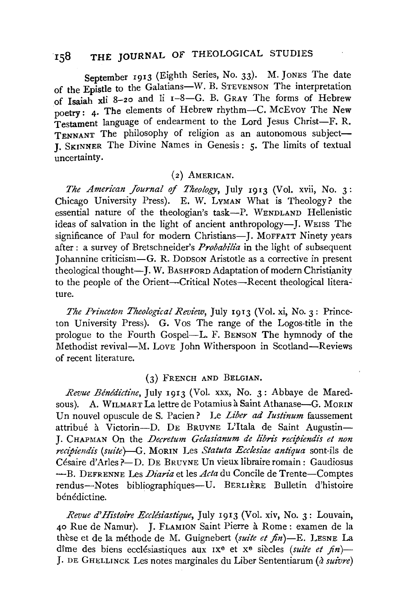# 158 THE JOURNAL OF THEOLOGICAL STUDIES

September 1913 (Eighth Series, No. 33). M. JONES The date of the Epistle to the Galatians-W. B. STEVENSON The interpretation of Isaiah xli 8-20 and li  $I-8$ -G. B. GRAY The forms of Hebrew poetry: 4. The elements of Hebrew rhythm-C. McEvov The New Testament language of endearment to the Lord Jesus Christ-F. R. TENNANT The philosophy of religion as an autonomous subject-**I.** SKINNER The Divine Names in Genesis: 5. The limits of textual uncertainty.

## (2) AMERICAN.

*The American Journal of Theology*, July 1913 (Vol. xvii, No. 3: Chicago University Press). E. W. LYMAN What is Theology? the essential nature of the theologian's task-P. WENDLAND Hellenistic ideas of salvation in the light of ancient anthropology-J. WEISS The significance of Paul for modern Christians-I. MOFFATT Ninety years after : a survey of Bretschneider's *Probabilia* in the light of subsequent J ohannine criticism-G. R. DoDSON Aristotle as a corrective in present theological thought-J. W. BASHFORD Adaptation of modern Christianity to the people of the Orient-Critical Notes-Recent theological literature.

*The Princeton Theological Review,* July 1913 (Vol. xi, No. 3: Princeton University Press). G. Vos The range of the Logos-title in the prologue to the Fourth Gospel-L. F. BENSON The hymnody of the Methodist revival-M. Love John Witherspoon in Scotland-Reviews of recent literature.

#### (3) FRENCH AND BELGIAN.

*Revue Benedictine,* July 1913 (Vol. xxx, No. 3: Abbaye de Maredsous). A. WILMART La lettre de Potamius à Saint Athanase-G. MORIN Un nouvel opuscule deS. Pacien? Le *Liber ad Iustinum* faussement attribué à Victorin--D. DE BRUYNE L'Itala de Saint Augustin-J. CHAPMAN On the *Decretum Gelasianum de librz's recipiendis et non recipiendis (suite)--G.* MoRIN Les *Statuta Ecclesiae antiqua* sont-ils de Cesaire d' Aries?-D. DE BRUYNE Un vieux libraire romain: Gaudiosus -B. DEFRENNE Les *Diaria* et les *Acta* du Concile de Trente-Comptes rendus-Notes bibliographiques-U. BERLIÈRE Bulletin d'histoire bénédictine.

*Revue d'Histoire Ecclésiastique*, July 1913 (Vol. xiv, No. 3: Louvain, 40 Rue de Namur). J. FLAMION Saint Pierre a Rome: examen de la these et de la methode de M. Guignebert *(suite et fin)-E.* LESNE La dîme des biens ecclésiastiques aux 1x<sup>e</sup> et x<sup>e</sup> siècles *(suite et fin*)-J. DE GHELLINCK Les notes marginales du Liber Sententiarum (à suivre)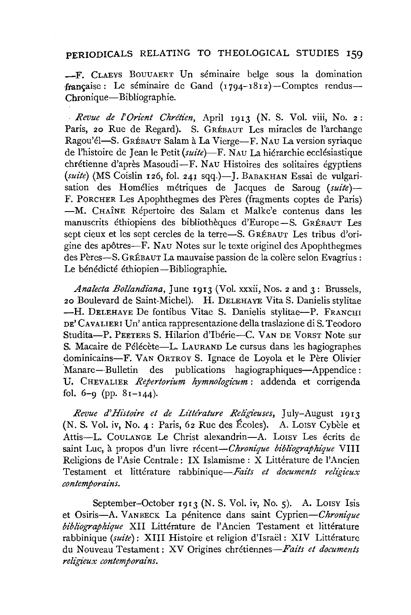### **PERIODICALS** RELATING TO THEOLOGICAL STUDIES **159**

-F. CLAEYS BOUUAERT Un seminaire beige sous la domination française: Le séminaire de Gand  $(1794-1812)$ -Comptes rendus-Chronique-Bibliographie.

*Revue de l'Orient Chrétien, April 1913 (N. S. Vol. viii, No. 2:* Paris, 20 Rue de Regard). S. GRÉBAUT Les miracles de l'archange Ragou'el-S. GRÉBAUT Salam à La Vierge-F. NAU La version syriaque de l'histoire de Jean le Petit *(suite)-F.* N AU La hierarchie ecclesiastique chrétienne d'après Masoudi-F. NAU Histoires des solitaires égyptiens (suite) (MS Coislin 126, fol. 241 sqq.)-J. BABAKHAN Essai de vulgarisation des Homélies métriques de Jacques de Saroug (suite)-F. PORCHER Les Apophthegmes des Pères (fragments coptes de Paris) -M. CHAINE Repertoire des Salam et Malke'e contenus dans les manuscrits ethiopiens des bibliotheques d'Europe-S. GREBAUT Les sept cieux et les sept cercles de la terre-S. GRÉBAUT Les tribus d'origine des apotres-F. NAU Notes sur le texte originel des Apophthegmes des Pères-S. GRÉBAUT La mauvaise passion de la colère selon Evagrius : Le bénédicté éthiopien-Bibliographie.

*Analecta Bollandiana,* June 1913 (Vol. xxxii, Nos. 2 and 3: Brussels, 20 Boulevard de Saint-Michel). **H.** DELEHAYE Vita S. Danielis stylitae **-H. DELEHAYE De fontibus Vitae S. Danielis stylitae-P. FRANCHI** DE' CAvALIER! Un' antica rappresentazione della traslazione di S. Teodoro Studita-P. PEETERS S. Hilarion d'Ibérie-C. VAN DE VORST Note sur S. Macaire de Pélécète-L. LAURAND Le cursus dans les hagiographes dominicains-F. VAN ORTROY S. Ignace de Loyola et le Père Olivier ·Manare- Bulletin des publications hagiographiques-Appendice : U. CHEVALIER *Repertorium hymnologicum* : addenda et corrigenda fol.  $6-9$  (pp.  $81-144$ ).

Revue d'Histoire et de Littérature Religieuses, July-August 1913 (N. S. Vol. iv, No. 4: Paris, 62 Rue des Écoles). A. Lorsy Cybèle et Attis-L. COULANGE Le Christ alexandrin-A. LOISY Les écrits de saint Luc, à propos d'un livre *récent-Chronique bibliographique* VIII Religions de l'Asie Centrale: IX Islamisme : X Littérature de l'Ancien Testament et littérature rabbinique-Faits et documents religieux *contemporains.* 

September-October 1913 (N. S. Vol. iv, No. 5). A. LOISY Isis et Osiris-A. V AN BECK La penitence dans saint *Cyprien-Chronique bibliographique* XII Litterature de **l'** Ancien Testament et litterature rabbinique (suite): XIII Histoire et religion d'Israël : XIV Littérature du Nouveau Testament: XV Origines *chretiennes-Faits et documents*   $religieux$  *contemporains.*